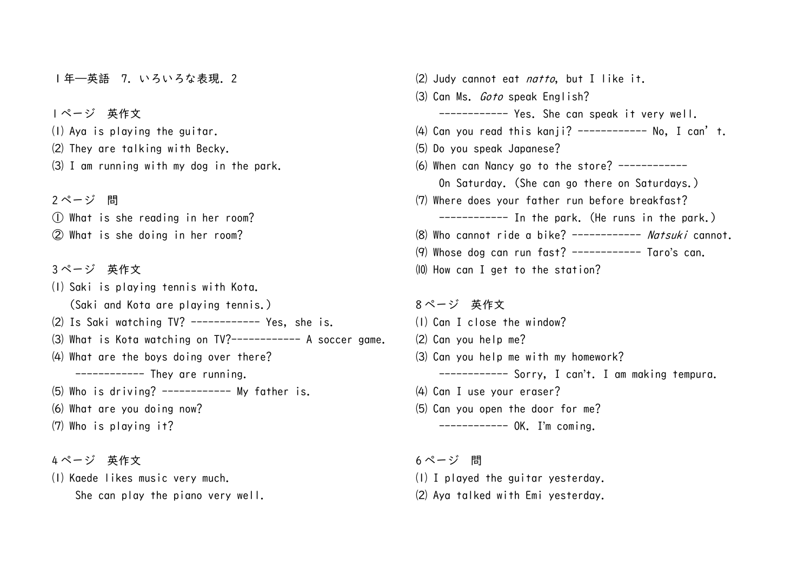1年–英語 7. いろいろな表現. 2

 ページ 英作文 Aya is playing the guitar. They are talking with Becky. I am running with my dog in the park.

 ページ 問 What is she reading in her room? What is she doing in her room?

 ページ 英作文 Saki is playing tennis with Kota. (Saki and Kota are playing tennis.) Is Saki watching TV? ------------ Yes, she is. (3) What is Kota watching on TV?----------- A soccer game. What are the boys doing over there? ------------ They are running. Who is driving? ------------ My father is. What are you doing now? Who is playing it?

 ページ 英作文 Kaede likes music very much. She can play the piano very well.  $(2)$  Judy cannot eat *natto*, but I like it. Can Ms. Goto speak English? ------------ Yes. She can speak it very well. (4) Can you read this kanji? ----------- No, I can't. Do you speak Japanese? (6) When can Nancy go to the store? ----------- On Saturday. (She can go there on Saturdays.) Where does your father run before breakfast? ------------ In the park. (He runs in the park.) (8) Who cannot ride a bike? ----------- Natsuki cannot.  $(9)$  Whose dog can run fast? ------------ Taro's can. How can I get to the station?

 ページ 英作文 Can I close the window? Can you help me? Can you help me with my homework? ------------ Sorry, I can't. I am making tempura. Can I use your eraser? Can you open the door for me? ------------ OK. I'm coming.

 ページ 問 I played the guitar yesterday. Aya talked with Emi yesterday.